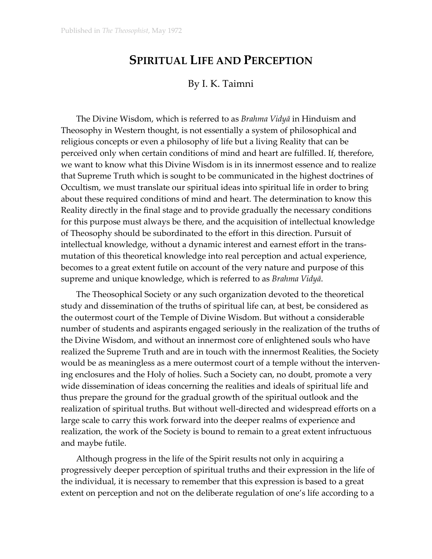## **SPIRITUAL LIFE AND PERCEPTION**

## By I. K. Taimni

The Divine Wisdom, which is referred to as *Brahma Vidyā* in Hinduism and Theosophy in Western thought, is not essentially a system of philosophical and religious concepts or even a philosophy of life but a living Reality that can be perceived only when certain conditions of mind and heart are fulfilled. If, therefore, we want to know what this Divine Wisdom is in its innermost essence and to realize that Supreme Truth which is sought to be communicated in the highest doctrines of Occultism, we must translate our spiritual ideas into spiritual life in order to bring about these required conditions of mind and heart. The determination to know this Reality directly in the final stage and to provide gradually the necessary conditions for this purpose must always be there, and the acquisition of intellectual knowledge of Theosophy should be subordinated to the effort in this direction. Pursuit of intellectual knowledge, without a dynamic interest and earnest effort in the transmutation of this theoretical knowledge into real perception and actual experience, becomes to a great extent futile on account of the very nature and purpose of this supreme and unique knowledge, which is referred to as *Brahma Vidyā*.

The Theosophical Society or any such organization devoted to the theoretical study and dissemination of the truths of spiritual life can, at best, be considered as the outermost court of the Temple of Divine Wisdom. But without a considerable number of students and aspirants engaged seriously in the realization of the truths of the Divine Wisdom, and without an innermost core of enlightened souls who have realized the Supreme Truth and are in touch with the innermost Realities, the Society would be as meaningless as a mere outermost court of a temple without the intervening enclosures and the Holy of holies. Such a Society can, no doubt, promote a very wide dissemination of ideas concerning the realities and ideals of spiritual life and thus prepare the ground for the gradual growth of the spiritual outlook and the realization of spiritual truths. But without well-directed and widespread efforts on a large scale to carry this work forward into the deeper realms of experience and realization, the work of the Society is bound to remain to a great extent infructuous and maybe futile.

Although progress in the life of the Spirit results not only in acquiring a progressively deeper perception of spiritual truths and their expression in the life of the individual, it is necessary to remember that this expression is based to a great extent on perception and not on the deliberate regulation of one's life according to a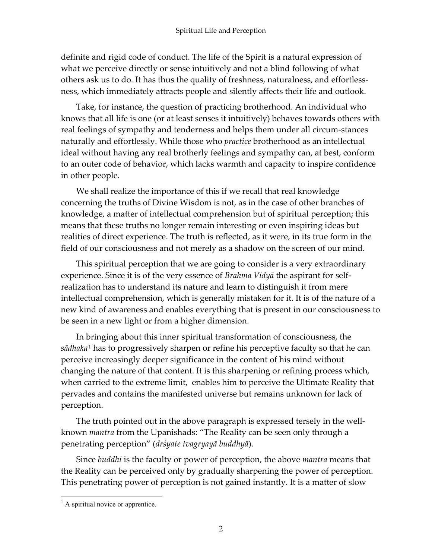definite and rigid code of conduct. The life of the Spirit is a natural expression of what we perceive directly or sense intuitively and not a blind following of what others ask us to do. It has thus the quality of freshness, naturalness, and effortlessness, which immediately attracts people and silently affects their life and outlook.

Take, for instance, the question of practicing brotherhood. An individual who knows that all life is one (or at least senses it intuitively) behaves towards others with real feelings of sympathy and tenderness and helps them under all circum-stances naturally and effortlessly. While those who *practice* brotherhood as an intellectual ideal without having any real brotherly feelings and sympathy can, at best, conform to an outer code of behavior, which lacks warmth and capacity to inspire confidence in other people.

We shall realize the importance of this if we recall that real knowledge concerning the truths of Divine Wisdom is not, as in the case of other branches of knowledge, a matter of intellectual comprehension but of spiritual perception; this means that these truths no longer remain interesting or even inspiring ideas but realities of direct experience. The truth is reflected, as it were, in its true form in the field of our consciousness and not merely as a shadow on the screen of our mind.

This spiritual perception that we are going to consider is a very extraordinary experience. Since it is of the very essence of *Brahma Vidyā* the aspirant for selfrealization has to understand its nature and learn to distinguish it from mere intellectual comprehension, which is generally mistaken for it. It is of the nature of a new kind of awareness and enables everything that is present in our consciousness to be seen in a new light or from a higher dimension.

In bringing about this inner spiritual transformation of consciousness, the *sādhaka* <sup>1</sup> has to progressively sharpen or refine his perceptive faculty so that he can perceive increasingly deeper significance in the content of his mind without changing the nature of that content. It is this sharpening or refining process which, when carried to the extreme limit, enables him to perceive the Ultimate Reality that pervades and contains the manifested universe but remains unknown for lack of perception.

The truth pointed out in the above paragraph is expressed tersely in the wellknown *mantra* from the Upanishads: "The Reality can be seen only through a penetrating perception" (*drśyate tvagryayā buddhyā*).

Since *buddhi* is the faculty or power of perception, the above *mantra* means that the Reality can be perceived only by gradually sharpening the power of perception. This penetrating power of perception is not gained instantly. It is a matter of slow

 $\overline{a}$ 

 $<sup>1</sup>$  A spiritual novice or apprentice.</sup>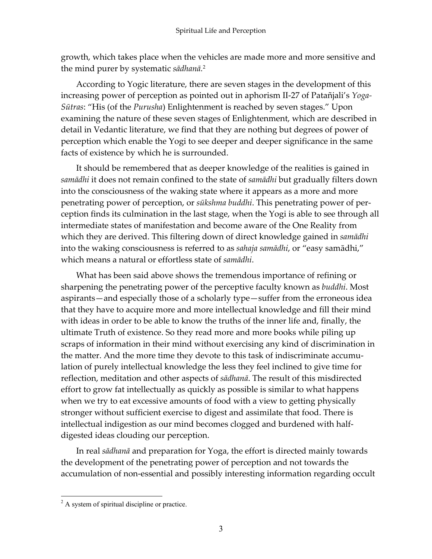growth, which takes place when the vehicles are made more and more sensitive and the mind purer by systematic *sādhanā.* 2

According to Yogic literature, there are seven stages in the development of this increasing power of perception as pointed out in aphorism II-27 of Patañjali's *Yoga-Sūtras*: "His (of the *Purusha*) Enlightenment is reached by seven stages." Upon examining the nature of these seven stages of Enlightenment, which are described in detail in Vedantic literature, we find that they are nothing but degrees of power of perception which enable the Yogi to see deeper and deeper significance in the same facts of existence by which he is surrounded.

It should be remembered that as deeper knowledge of the realities is gained in *samādhi* it does not remain confined to the state of *samādhi* but gradually filters down into the consciousness of the waking state where it appears as a more and more penetrating power of perception, or *sūkshma buddhi*. This penetrating power of perception finds its culmination in the last stage, when the Yogi is able to see through all intermediate states of manifestation and become aware of the One Reality from which they are derived. This filtering down of direct knowledge gained in *samādhi* into the waking consciousness is referred to as *sahaja samādhi*, or "easy samādhi," which means a natural or effortless state of *samādhi*.

What has been said above shows the tremendous importance of refining or sharpening the penetrating power of the perceptive faculty known as *buddhi*. Most aspirants—and especially those of a scholarly type—suffer from the erroneous idea that they have to acquire more and more intellectual knowledge and fill their mind with ideas in order to be able to know the truths of the inner life and, finally, the ultimate Truth of existence. So they read more and more books while piling up scraps of information in their mind without exercising any kind of discrimination in the matter. And the more time they devote to this task of indiscriminate accumulation of purely intellectual knowledge the less they feel inclined to give time for reflection, meditation and other aspects of *sādhanā*. The result of this misdirected effort to grow fat intellectually as quickly as possible is similar to what happens when we try to eat excessive amounts of food with a view to getting physically stronger without sufficient exercise to digest and assimilate that food. There is intellectual indigestion as our mind becomes clogged and burdened with halfdigested ideas clouding our perception.

In real *sādhanā* and preparation for Yoga, the effort is directed mainly towards the development of the penetrating power of perception and not towards the accumulation of non-essential and possibly interesting information regarding occult

 $\overline{a}$ 

 $2^2$  A system of spiritual discipline or practice.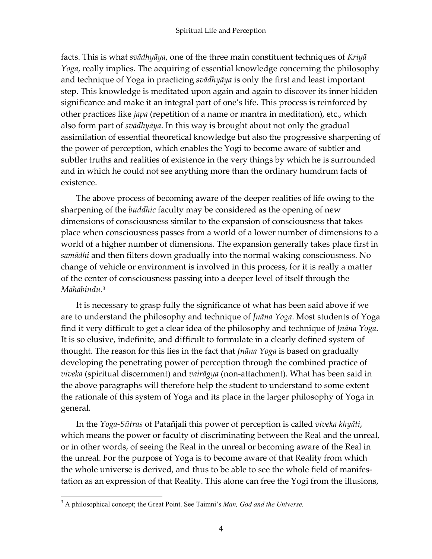facts. This is what *svādhyāya*, one of the three main constituent techniques of *Kriyā Yoga*, really implies. The acquiring of essential knowledge concerning the philosophy and technique of Yoga in practicing *svādhyāya* is only the first and least important step. This knowledge is meditated upon again and again to discover its inner hidden significance and make it an integral part of one's life. This process is reinforced by other practices like *japa* (repetition of a name or mantra in meditation), etc., which also form part of *svādhyāya*. In this way is brought about not only the gradual assimilation of essential theoretical knowledge but also the progressive sharpening of the power of perception, which enables the Yogi to become aware of subtler and subtler truths and realities of existence in the very things by which he is surrounded and in which he could not see anything more than the ordinary humdrum facts of existence.

The above process of becoming aware of the deeper realities of life owing to the sharpening of the *buddhic* faculty may be considered as the opening of new dimensions of consciousness similar to the expansion of consciousness that takes place when consciousness passes from a world of a lower number of dimensions to a world of a higher number of dimensions. The expansion generally takes place first in *samādhi* and then filters down gradually into the normal waking consciousness. No change of vehicle or environment is involved in this process, for it is really a matter of the center of consciousness passing into a deeper level of itself through the *Māhābindu*. 3

It is necessary to grasp fully the significance of what has been said above if we are to understand the philosophy and technique of *Jnāna Yoga*. Most students of Yoga find it very difficult to get a clear idea of the philosophy and technique of *Jnāna Yoga*. It is so elusive, indefinite, and difficult to formulate in a clearly defined system of thought. The reason for this lies in the fact that *Jnāna Yoga* is based on gradually developing the penetrating power of perception through the combined practice of *viveka* (spiritual discernment) and *vairāgya* (non-attachment). What has been said in the above paragraphs will therefore help the student to understand to some extent the rationale of this system of Yoga and its place in the larger philosophy of Yoga in general.

In the *Yoga-Sūtras* of Patañjali this power of perception is called *viveka khyāti*, which means the power or faculty of discriminating between the Real and the unreal, or in other words, of seeing the Real in the unreal or becoming aware of the Real in the unreal. For the purpose of Yoga is to become aware of that Reality from which the whole universe is derived, and thus to be able to see the whole field of manifestation as an expression of that Reality. This alone can free the Yogi from the illusions,

 $\overline{a}$ 

<sup>&</sup>lt;sup>3</sup> A philosophical concept; the Great Point. See Taimni's *Man, God and the Universe.*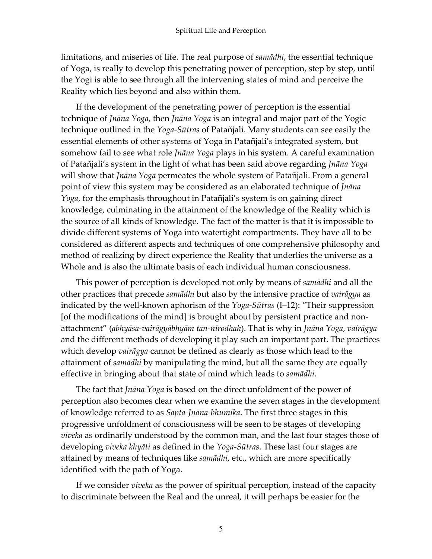limitations, and miseries of life. The real purpose of *samādhi*, the essential technique of Yoga, is really to develop this penetrating power of perception, step by step, until the Yogi is able to see through all the intervening states of mind and perceive the Reality which lies beyond and also within them.

If the development of the penetrating power of perception is the essential technique of *Jnāna Yoga*, then *Jnāna Yoga* is an integral and major part of the Yogic technique outlined in the *Yoga-Sūtras* of Patañjali. Many students can see easily the essential elements of other systems of Yoga in Patañjali's integrated system, but somehow fail to see what role *Jnāna Yoga* plays in his system. A careful examination of Patañjali's system in the light of what has been said above regarding *Jnāna Yoga* will show that *Jnāna Yoga* permeates the whole system of Patañjali. From a general point of view this system may be considered as an elaborated technique of *Jnāna Yoga*, for the emphasis throughout in Patañjali's system is on gaining direct knowledge, culminating in the attainment of the knowledge of the Reality which is the source of all kinds of knowledge. The fact of the matter is that it is impossible to divide different systems of Yoga into watertight compartments. They have all to be considered as different aspects and techniques of one comprehensive philosophy and method of realizing by direct experience the Reality that underlies the universe as a Whole and is also the ultimate basis of each individual human consciousness.

This power of perception is developed not only by means of *samādhi* and all the other practices that precede *samādhi* but also by the intensive practice of *vairāgya* as indicated by the well-known aphorism of the *Yoga-Sūtras* (I–12): "Their suppression [of the modifications of the mind] is brought about by persistent practice and nonattachment" (*abhyāsa-vairāgyābhyām tan-nirodhah*). That is why in *Jnāna Yoga*, *vairāgya* and the different methods of developing it play such an important part. The practices which develop *vairāgya* cannot be defined as clearly as those which lead to the attainment of *samādhi* by manipulating the mind, but all the same they are equally effective in bringing about that state of mind which leads to *samādhi*.

The fact that *Jnāna Yoga* is based on the direct unfoldment of the power of perception also becomes clear when we examine the seven stages in the development of knowledge referred to as *Sapta-Jnāna-bhumika*. The first three stages in this progressive unfoldment of consciousness will be seen to be stages of developing *viveka* as ordinarily understood by the common man, and the last four stages those of developing *viveka khyāti* as defined in the *Yoga-Sūtras*. These last four stages are attained by means of techniques like *samādhi*, etc., which are more specifically identified with the path of Yoga.

If we consider *viveka* as the power of spiritual perception, instead of the capacity to discriminate between the Real and the unreal, it will perhaps be easier for the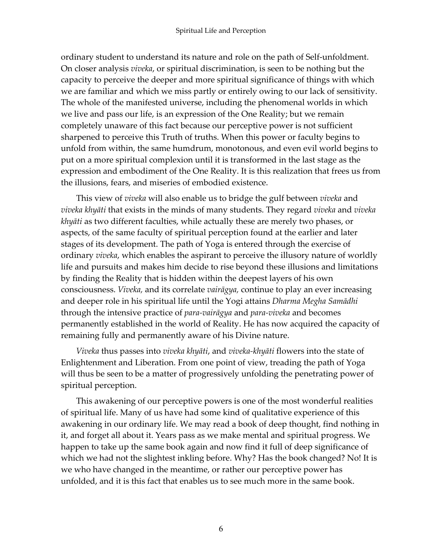ordinary student to understand its nature and role on the path of Self-unfoldment. On closer analysis *viveka*, or spiritual discrimination, is seen to be nothing but the capacity to perceive the deeper and more spiritual significance of things with which we are familiar and which we miss partly or entirely owing to our lack of sensitivity. The whole of the manifested universe, including the phenomenal worlds in which we live and pass our life, is an expression of the One Reality; but we remain completely unaware of this fact because our perceptive power is not sufficient sharpened to perceive this Truth of truths. When this power or faculty begins to unfold from within, the same humdrum, monotonous, and even evil world begins to put on a more spiritual complexion until it is transformed in the last stage as the expression and embodiment of the One Reality. It is this realization that frees us from the illusions, fears, and miseries of embodied existence.

This view of *viveka* will also enable us to bridge the gulf between *viveka* and *viveka khyāti* that exists in the minds of many students. They regard *viveka* and *viveka khyāti* as two different faculties, while actually these are merely two phases, or aspects, of the same faculty of spiritual perception found at the earlier and later stages of its development. The path of Yoga is entered through the exercise of ordinary *viveka*, which enables the aspirant to perceive the illusory nature of worldly life and pursuits and makes him decide to rise beyond these illusions and limitations by finding the Reality that is hidden within the deepest layers of his own consciousness. *Viveka,* and its correlate *vairāgya,* continue to play an ever increasing and deeper role in his spiritual life until the Yogi attains *Dharma Megha Samādhi* through the intensive practice of *para-vairāgya* and *para-viveka* and becomes permanently established in the world of Reality. He has now acquired the capacity of remaining fully and permanently aware of his Divine nature.

*Viveka* thus passes into *viveka khyāti*, and *viveka-khyāti* flowers into the state of Enlightenment and Liberation. From one point of view, treading the path of Yoga will thus be seen to be a matter of progressively unfolding the penetrating power of spiritual perception.

This awakening of our perceptive powers is one of the most wonderful realities of spiritual life. Many of us have had some kind of qualitative experience of this awakening in our ordinary life. We may read a book of deep thought, find nothing in it, and forget all about it. Years pass as we make mental and spiritual progress. We happen to take up the same book again and now find it full of deep significance of which we had not the slightest inkling before. Why? Has the book changed? No! It is we who have changed in the meantime, or rather our perceptive power has unfolded, and it is this fact that enables us to see much more in the same book.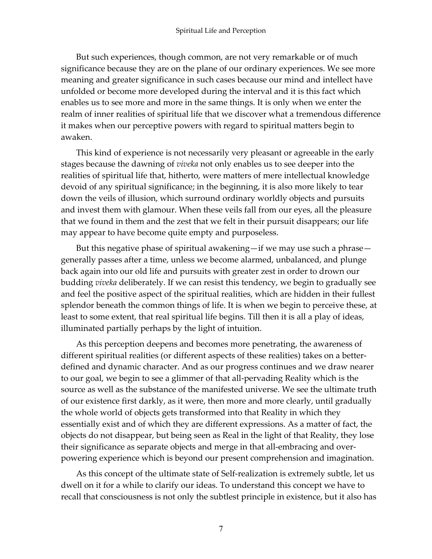But such experiences, though common, are not very remarkable or of much significance because they are on the plane of our ordinary experiences. We see more meaning and greater significance in such cases because our mind and intellect have unfolded or become more developed during the interval and it is this fact which enables us to see more and more in the same things. It is only when we enter the realm of inner realities of spiritual life that we discover what a tremendous difference it makes when our perceptive powers with regard to spiritual matters begin to awaken.

This kind of experience is not necessarily very pleasant or agreeable in the early stages because the dawning of *viveka* not only enables us to see deeper into the realities of spiritual life that, hitherto, were matters of mere intellectual knowledge devoid of any spiritual significance; in the beginning, it is also more likely to tear down the veils of illusion, which surround ordinary worldly objects and pursuits and invest them with glamour. When these veils fall from our eyes, all the pleasure that we found in them and the zest that we felt in their pursuit disappears; our life may appear to have become quite empty and purposeless.

But this negative phase of spiritual awakening—if we may use such a phrase generally passes after a time, unless we become alarmed, unbalanced, and plunge back again into our old life and pursuits with greater zest in order to drown our budding *viveka* deliberately. If we can resist this tendency, we begin to gradually see and feel the positive aspect of the spiritual realities, which are hidden in their fullest splendor beneath the common things of life. It is when we begin to perceive these, at least to some extent, that real spiritual life begins. Till then it is all a play of ideas, illuminated partially perhaps by the light of intuition.

As this perception deepens and becomes more penetrating, the awareness of different spiritual realities (or different aspects of these realities) takes on a betterdefined and dynamic character. And as our progress continues and we draw nearer to our goal, we begin to see a glimmer of that all-pervading Reality which is the source as well as the substance of the manifested universe. We see the ultimate truth of our existence first darkly, as it were, then more and more clearly, until gradually the whole world of objects gets transformed into that Reality in which they essentially exist and of which they are different expressions. As a matter of fact, the objects do not disappear, but being seen as Real in the light of that Reality, they lose their significance as separate objects and merge in that all-embracing and overpowering experience which is beyond our present comprehension and imagination.

As this concept of the ultimate state of Self-realization is extremely subtle, let us dwell on it for a while to clarify our ideas. To understand this concept we have to recall that consciousness is not only the subtlest principle in existence, but it also has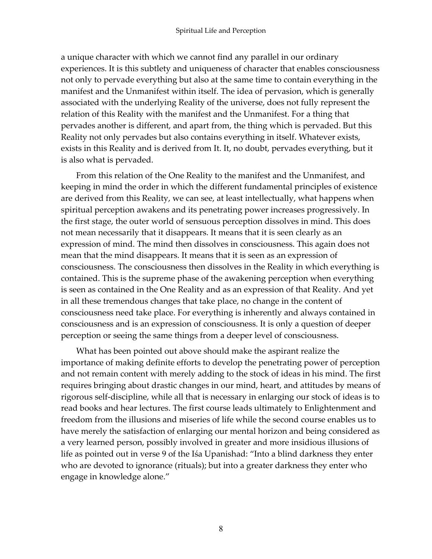a unique character with which we cannot find any parallel in our ordinary experiences. It is this subtlety and uniqueness of character that enables consciousness not only to pervade everything but also at the same time to contain everything in the manifest and the Unmanifest within itself. The idea of pervasion, which is generally associated with the underlying Reality of the universe, does not fully represent the relation of this Reality with the manifest and the Unmanifest. For a thing that pervades another is different, and apart from, the thing which is pervaded. But this Reality not only pervades but also contains everything in itself. Whatever exists, exists in this Reality and is derived from It. It, no doubt, pervades everything, but it is also what is pervaded.

From this relation of the One Reality to the manifest and the Unmanifest, and keeping in mind the order in which the different fundamental principles of existence are derived from this Reality, we can see, at least intellectually, what happens when spiritual perception awakens and its penetrating power increases progressively. In the first stage, the outer world of sensuous perception dissolves in mind. This does not mean necessarily that it disappears. It means that it is seen clearly as an expression of mind. The mind then dissolves in consciousness. This again does not mean that the mind disappears. It means that it is seen as an expression of consciousness. The consciousness then dissolves in the Reality in which everything is contained. This is the supreme phase of the awakening perception when everything is seen as contained in the One Reality and as an expression of that Reality. And yet in all these tremendous changes that take place, no change in the content of consciousness need take place. For everything is inherently and always contained in consciousness and is an expression of consciousness. It is only a question of deeper perception or seeing the same things from a deeper level of consciousness.

What has been pointed out above should make the aspirant realize the importance of making definite efforts to develop the penetrating power of perception and not remain content with merely adding to the stock of ideas in his mind. The first requires bringing about drastic changes in our mind, heart, and attitudes by means of rigorous self-discipline, while all that is necessary in enlarging our stock of ideas is to read books and hear lectures. The first course leads ultimately to Enlightenment and freedom from the illusions and miseries of life while the second course enables us to have merely the satisfaction of enlarging our mental horizon and being considered as a very learned person, possibly involved in greater and more insidious illusions of life as pointed out in verse 9 of the Iśa Upanishad: "Into a blind darkness they enter who are devoted to ignorance (rituals); but into a greater darkness they enter who engage in knowledge alone."